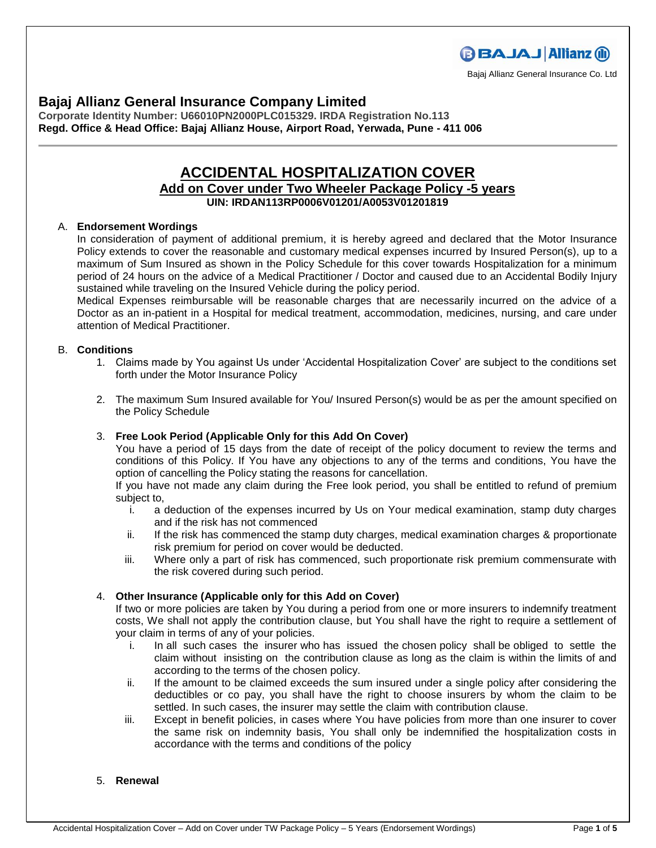

# **Bajaj Allianz General Insurance Company Limited**

**Corporate Identity Number: U66010PN2000PLC015329. IRDA Registration No.113 Regd. Office & Head Office: Bajaj Allianz House, Airport Road, Yerwada, Pune - 411 006**

# **ACCIDENTAL HOSPITALIZATION COVER**

# **Add on Cover under Two Wheeler Package Policy -5 years UIN: IRDAN113RP0006V01201/A0053V01201819**

## A. **Endorsement Wordings**

In consideration of payment of additional premium, it is hereby agreed and declared that the Motor Insurance Policy extends to cover the reasonable and customary medical expenses incurred by Insured Person(s), up to a maximum of Sum Insured as shown in the Policy Schedule for this cover towards Hospitalization for a minimum period of 24 hours on the advice of a Medical Practitioner / Doctor and caused due to an Accidental Bodily Injury sustained while traveling on the Insured Vehicle during the policy period.

Medical Expenses reimbursable will be reasonable charges that are necessarily incurred on the advice of a Doctor as an in-patient in a Hospital for medical treatment, accommodation, medicines, nursing, and care under attention of Medical Practitioner.

## B. **Conditions**

- 1. Claims made by You against Us under 'Accidental Hospitalization Cover' are subject to the conditions set forth under the Motor Insurance Policy
- 2. The maximum Sum Insured available for You/ Insured Person(s) would be as per the amount specified on the Policy Schedule

# 3. **Free Look Period (Applicable Only for this Add On Cover)**

You have a period of 15 days from the date of receipt of the policy document to review the terms and conditions of this Policy. If You have any objections to any of the terms and conditions, You have the option of cancelling the Policy stating the reasons for cancellation.

If you have not made any claim during the Free look period, you shall be entitled to refund of premium subject to,

- i. a deduction of the expenses incurred by Us on Your medical examination, stamp duty charges and if the risk has not commenced
- ii. If the risk has commenced the stamp duty charges, medical examination charges & proportionate risk premium for period on cover would be deducted.
- iii. Where only a part of risk has commenced, such proportionate risk premium commensurate with the risk covered during such period.

#### 4. **Other Insurance (Applicable only for this Add on Cover)**

If two or more policies are taken by You during a period from one or more insurers to indemnify treatment costs, We shall not apply the contribution clause, but You shall have the right to require a settlement of your claim in terms of any of your policies.

- i. In all such cases the insurer who has issued the chosen policy shall be obliged to settle the claim without insisting on the contribution clause as long as the claim is within the limits of and according to the terms of the chosen policy.
- ii. If the amount to be claimed exceeds the sum insured under a single policy after considering the deductibles or co pay, you shall have the right to choose insurers by whom the claim to be settled. In such cases, the insurer may settle the claim with contribution clause.
- iii. Except in benefit policies, in cases where You have policies from more than one insurer to cover the same risk on indemnity basis, You shall only be indemnified the hospitalization costs in accordance with the terms and conditions of the policy

#### 5. **Renewal**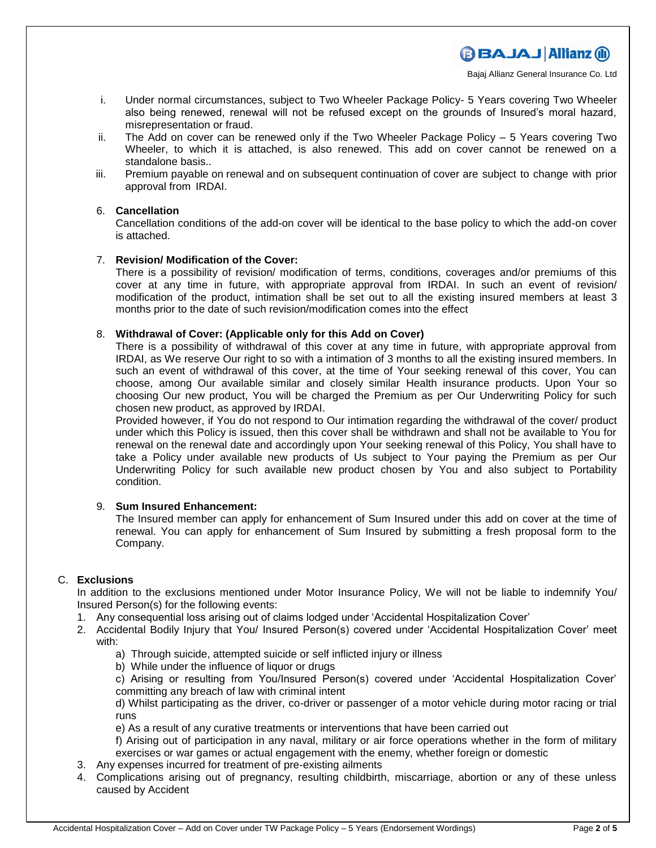

- i. Under normal circumstances, subject to Two Wheeler Package Policy- 5 Years covering Two Wheeler also being renewed, renewal will not be refused except on the grounds of Insured's moral hazard, misrepresentation or fraud.
- ii. The Add on cover can be renewed only if the Two Wheeler Package Policy 5 Years covering Two Wheeler, to which it is attached, is also renewed. This add on cover cannot be renewed on a standalone basis..
- iii. Premium payable on renewal and on subsequent continuation of cover are subject to change with prior approval from IRDAI.

### 6. **Cancellation**

Cancellation conditions of the add-on cover will be identical to the base policy to which the add-on cover is attached.

## 7. **Revision/ Modification of the Cover:**

There is a possibility of revision/ modification of terms, conditions, coverages and/or premiums of this cover at any time in future, with appropriate approval from IRDAI. In such an event of revision/ modification of the product, intimation shall be set out to all the existing insured members at least 3 months prior to the date of such revision/modification comes into the effect

#### 8. **Withdrawal of Cover: (Applicable only for this Add on Cover)**

There is a possibility of withdrawal of this cover at any time in future, with appropriate approval from IRDAI, as We reserve Our right to so with a intimation of 3 months to all the existing insured members. In such an event of withdrawal of this cover, at the time of Your seeking renewal of this cover, You can choose, among Our available similar and closely similar Health insurance products. Upon Your so choosing Our new product, You will be charged the Premium as per Our Underwriting Policy for such chosen new product, as approved by IRDAI.

Provided however, if You do not respond to Our intimation regarding the withdrawal of the cover/ product under which this Policy is issued, then this cover shall be withdrawn and shall not be available to You for renewal on the renewal date and accordingly upon Your seeking renewal of this Policy, You shall have to take a Policy under available new products of Us subject to Your paying the Premium as per Our Underwriting Policy for such available new product chosen by You and also subject to Portability condition.

#### 9. **Sum Insured Enhancement:**

The Insured member can apply for enhancement of Sum Insured under this add on cover at the time of renewal. You can apply for enhancement of Sum Insured by submitting a fresh proposal form to the Company.

#### C. **Exclusions**

In addition to the exclusions mentioned under Motor Insurance Policy, We will not be liable to indemnify You/ Insured Person(s) for the following events:

1. Any consequential loss arising out of claims lodged under 'Accidental Hospitalization Cover'

2. Accidental Bodily Injury that You/ Insured Person(s) covered under 'Accidental Hospitalization Cover' meet with:

- a) Through suicide, attempted suicide or self inflicted injury or illness
- b) While under the influence of liquor or drugs

c) Arising or resulting from You/Insured Person(s) covered under 'Accidental Hospitalization Cover' committing any breach of law with criminal intent

d) Whilst participating as the driver, co-driver or passenger of a motor vehicle during motor racing or trial runs

e) As a result of any curative treatments or interventions that have been carried out

f) Arising out of participation in any naval, military or air force operations whether in the form of military exercises or war games or actual engagement with the enemy, whether foreign or domestic

- 3. Any expenses incurred for treatment of pre-existing ailments
- 4. Complications arising out of pregnancy, resulting childbirth, miscarriage, abortion or any of these unless caused by Accident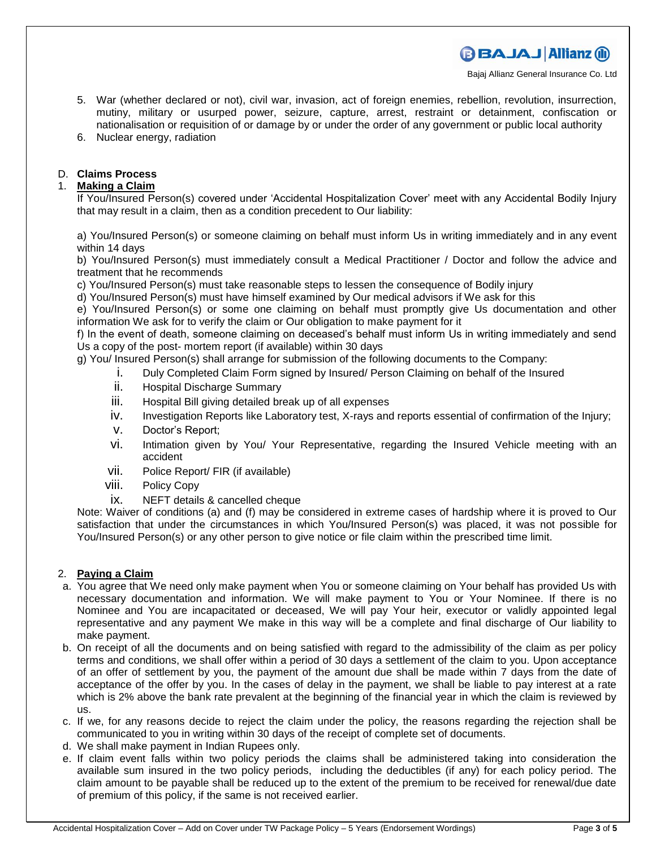**BBAJAJ Allianz (ii)** 

- 5. War (whether declared or not), civil war, invasion, act of foreign enemies, rebellion, revolution, insurrection, mutiny, military or usurped power, seizure, capture, arrest, restraint or detainment, confiscation or nationalisation or requisition of or damage by or under the order of any government or public local authority 6. Nuclear energy, radiation
- 

# D. **Claims Process**

# 1. **Making a Claim**

If You/Insured Person(s) covered under 'Accidental Hospitalization Cover' meet with any Accidental Bodily Injury that may result in a claim, then as a condition precedent to Our liability:

a) You/Insured Person(s) or someone claiming on behalf must inform Us in writing immediately and in any event within 14 days

b) You/Insured Person(s) must immediately consult a Medical Practitioner / Doctor and follow the advice and treatment that he recommends

c) You/Insured Person(s) must take reasonable steps to lessen the consequence of Bodily injury

d) You/Insured Person(s) must have himself examined by Our medical advisors if We ask for this

e) You/Insured Person(s) or some one claiming on behalf must promptly give Us documentation and other information We ask for to verify the claim or Our obligation to make payment for it

f) In the event of death, someone claiming on deceased's behalf must inform Us in writing immediately and send Us a copy of the post- mortem report (if available) within 30 days

g) You/ Insured Person(s) shall arrange for submission of the following documents to the Company:

- i. Duly Completed Claim Form signed by Insured/ Person Claiming on behalf of the Insured
- ii. Hospital Discharge Summary
- iii. Hospital Bill giving detailed break up of all expenses
- iv. Investigation Reports like Laboratory test, X-rays and reports essential of confirmation of the Injury;
- v. Doctor's Report;
- vi. Intimation given by You/ Your Representative, regarding the Insured Vehicle meeting with an accident
- vii. Police Report/ FIR (if available)
- viii. Policy Copy
- ix. NEFT details & cancelled cheque

Note: Waiver of conditions (a) and (f) may be considered in extreme cases of hardship where it is proved to Our satisfaction that under the circumstances in which You/Insured Person(s) was placed, it was not possible for You/Insured Person(s) or any other person to give notice or file claim within the prescribed time limit.

# 2. **Paying a Claim**

- a. You agree that We need only make payment when You or someone claiming on Your behalf has provided Us with necessary documentation and information. We will make payment to You or Your Nominee. If there is no Nominee and You are incapacitated or deceased, We will pay Your heir, executor or validly appointed legal representative and any payment We make in this way will be a complete and final discharge of Our liability to make payment.
- b. On receipt of all the documents and on being satisfied with regard to the admissibility of the claim as per policy terms and conditions, we shall offer within a period of 30 days a settlement of the claim to you. Upon acceptance of an offer of settlement by you, the payment of the amount due shall be made within 7 days from the date of acceptance of the offer by you. In the cases of delay in the payment, we shall be liable to pay interest at a rate which is 2% above the bank rate prevalent at the beginning of the financial year in which the claim is reviewed by us.
- c. If we, for any reasons decide to reject the claim under the policy, the reasons regarding the rejection shall be communicated to you in writing within 30 days of the receipt of complete set of documents.
- d. We shall make payment in Indian Rupees only.
- e. If claim event falls within two policy periods the claims shall be administered taking into consideration the available sum insured in the two policy periods, including the deductibles (if any) for each policy period. The claim amount to be payable shall be reduced up to the extent of the premium to be received for renewal/due date of premium of this policy, if the same is not received earlier.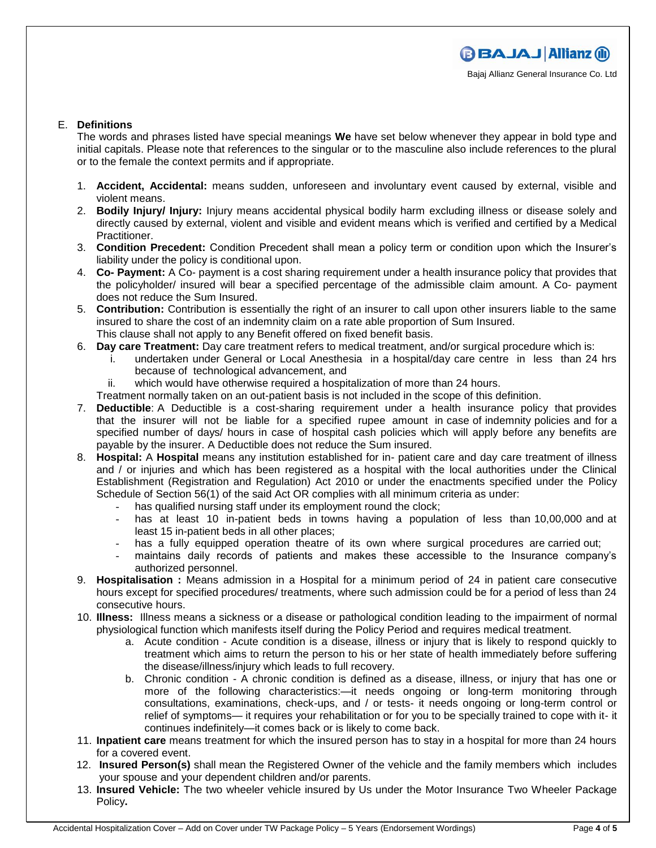#### E. **Definitions**

The words and phrases listed have special meanings **We** have set below whenever they appear in bold type and initial capitals. Please note that references to the singular or to the masculine also include references to the plural or to the female the context permits and if appropriate.

- 1. **Accident, Accidental:** means sudden, unforeseen and involuntary event caused by external, visible and violent means.
- 2. **Bodily Injury/ Injury:** Injury means accidental physical bodily harm excluding illness or disease solely and directly caused by external, violent and visible and evident means which is verified and certified by a Medical Practitioner.
- 3. **Condition Precedent:** Condition Precedent shall mean a policy term or condition upon which the Insurer's liability under the policy is conditional upon.
- 4. **Co- Payment:** A Co- payment is a cost sharing requirement under a health insurance policy that provides that the policyholder/ insured will bear a specified percentage of the admissible claim amount. A Co- payment does not reduce the Sum Insured.
- 5. **Contribution:** Contribution is essentially the right of an insurer to call upon other insurers liable to the same insured to share the cost of an indemnity claim on a rate able proportion of Sum Insured. This clause shall not apply to any Benefit offered on fixed benefit basis.
- 6. **Day care Treatment:** Day care treatment refers to medical treatment, and/or surgical procedure which is:
	- i. undertaken under General or Local Anesthesia in a hospital/day care centre in less than 24 hrs because of technological advancement, and
	- ii. which would have otherwise required a hospitalization of more than 24 hours.

Treatment normally taken on an out-patient basis is not included in the scope of this definition.

- 7. **Deductible**: A Deductible is a cost-sharing requirement under a health insurance policy that provides that the insurer will not be liable for a specified rupee amount in case of indemnity policies and for a specified number of days/ hours in case of hospital cash policies which will apply before any benefits are payable by the insurer. A Deductible does not reduce the Sum insured.
- 8. **Hospital:** A **Hospital** means any institution established for in- patient care and day care treatment of illness and / or injuries and which has been registered as a hospital with the local authorities under the Clinical Establishment (Registration and Regulation) Act 2010 or under the enactments specified under the Policy Schedule of Section 56(1) of the said Act OR complies with all minimum criteria as under:
	- has qualified nursing staff under its employment round the clock;
	- has at least 10 in-patient beds in towns having a population of less than 10,00,000 and at least 15 in-patient beds in all other places;
	- has a fully equipped operation theatre of its own where surgical procedures are carried out;
	- maintains daily records of patients and makes these accessible to the Insurance company's authorized personnel.
- 9. **Hospitalisation :** Means admission in a Hospital for a minimum period of 24 in patient care consecutive hours except for specified procedures/ treatments, where such admission could be for a period of less than 24 consecutive hours.
- 10. **Illness:** Illness means a sickness or a disease or pathological condition leading to the impairment of normal physiological function which manifests itself during the Policy Period and requires medical treatment.
	- a. Acute condition Acute condition is a disease, illness or injury that is likely to respond quickly to treatment which aims to return the person to his or her state of health immediately before suffering the disease/illness/injury which leads to full recovery.
	- b. Chronic condition A chronic condition is defined as a disease, illness, or injury that has one or more of the following characteristics:—it needs ongoing or long-term monitoring through consultations, examinations, check-ups, and / or tests- it needs ongoing or long-term control or relief of symptoms— it requires your rehabilitation or for you to be specially trained to cope with it- it continues indefinitely—it comes back or is likely to come back.
- 11. **Inpatient care** means treatment for which the insured person has to stay in a hospital for more than 24 hours for a covered event.
- 12. **Insured Person(s)** shall mean the Registered Owner of the vehicle and the family members which includes your spouse and your dependent children and/or parents.
- 13. **Insured Vehicle:** The two wheeler vehicle insured by Us under the Motor Insurance Two Wheeler Package Policy**.**